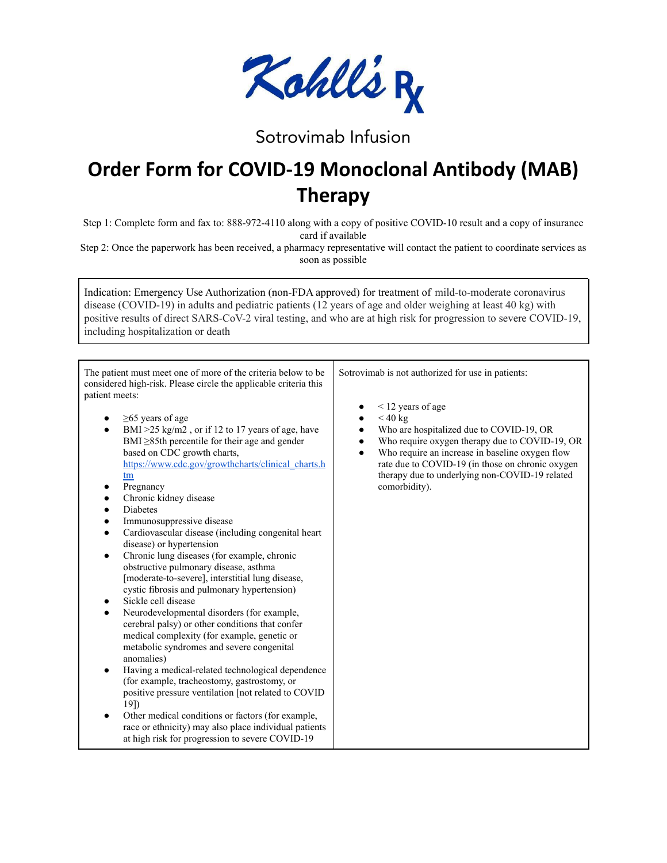

## Sotrovimab Infusion

## **Order Form for COVID-19 Monoclonal Antibody (MAB) Therapy**

Step 1: Complete form and fax to: 888-972-4110 along with a copy of positive COVID-10 result and a copy of insurance card if available

Step 2: Once the paperwork has been received, a pharmacy representative will contact the patient to coordinate services as soon as possible

Indication: Emergency Use Authorization (non-FDA approved) for treatment of mild-to-moderate coronavirus disease (COVID-19) in adults and pediatric patients (12 years of age and older weighing at least 40 kg) with positive results of direct SARS-CoV-2 viral testing, and who are at high risk for progression to severe COVID-19, including hospitalization or death

| The patient must meet one of more of the criteria below to be<br>considered high-risk. Please circle the applicable criteria this<br>patient meets:                                                                                                                                                                                                                                                                                                                                                                                                                                                                                                                                                                                                                                                                                                                                                                                                                                                                                                                                                                                                                          | Sotrovimab is not authorized for use in patients:                                                                                                                                                                                                                                                                        |
|------------------------------------------------------------------------------------------------------------------------------------------------------------------------------------------------------------------------------------------------------------------------------------------------------------------------------------------------------------------------------------------------------------------------------------------------------------------------------------------------------------------------------------------------------------------------------------------------------------------------------------------------------------------------------------------------------------------------------------------------------------------------------------------------------------------------------------------------------------------------------------------------------------------------------------------------------------------------------------------------------------------------------------------------------------------------------------------------------------------------------------------------------------------------------|--------------------------------------------------------------------------------------------------------------------------------------------------------------------------------------------------------------------------------------------------------------------------------------------------------------------------|
| $\geq$ 65 years of age<br>BMI $>25$ kg/m2, or if 12 to 17 years of age, have<br>BMI $\geq$ 85th percentile for their age and gender<br>based on CDC growth charts,<br>https://www.cdc.gov/growthcharts/clinical charts.h<br>tm<br>Pregnancy<br>Chronic kidney disease<br>$\bullet$<br><b>Diabetes</b><br>Immunosuppressive disease<br>Cardiovascular disease (including congenital heart)<br>$\bullet$<br>disease) or hypertension<br>Chronic lung diseases (for example, chronic<br>$\bullet$<br>obstructive pulmonary disease, asthma<br>[moderate-to-severe], interstitial lung disease,<br>cystic fibrosis and pulmonary hypertension)<br>Sickle cell disease<br>Neurodevelopmental disorders (for example,<br>cerebral palsy) or other conditions that confer<br>medical complexity (for example, genetic or<br>metabolic syndromes and severe congenital<br>anomalies)<br>Having a medical-related technological dependence<br>$\bullet$<br>(for example, tracheostomy, gastrostomy, or<br>positive pressure ventilation [not related to COVID<br>$19$ )<br>Other medical conditions or factors (for example,<br>race or ethnicity) may also place individual patients | $\leq$ 12 years of age<br>$<$ 40 kg<br>Who are hospitalized due to COVID-19, OR<br>Who require oxygen therapy due to COVID-19, OR<br>$\bullet$<br>Who require an increase in baseline oxygen flow<br>rate due to COVID-19 (in those on chronic oxygen<br>therapy due to underlying non-COVID-19 related<br>comorbidity). |
| at high risk for progression to severe COVID-19                                                                                                                                                                                                                                                                                                                                                                                                                                                                                                                                                                                                                                                                                                                                                                                                                                                                                                                                                                                                                                                                                                                              |                                                                                                                                                                                                                                                                                                                          |